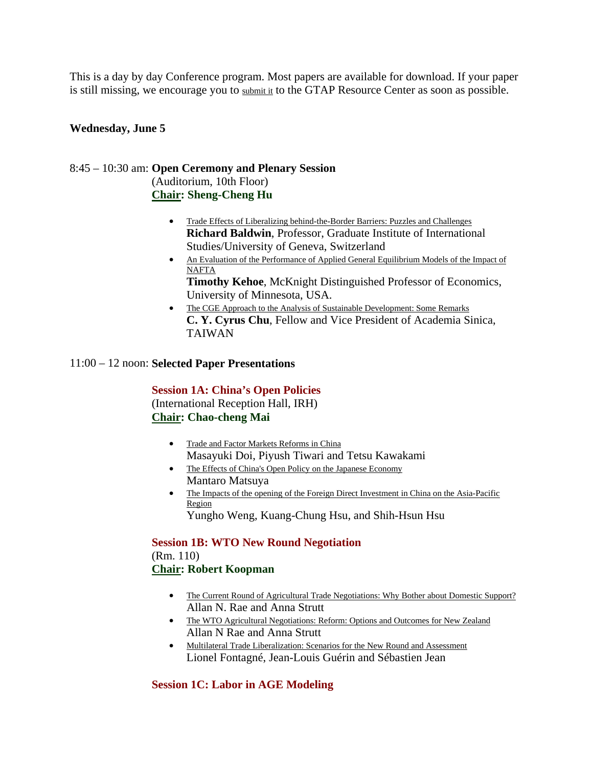This is a day by day Conference program. Most papers are available for download. If your paper is still missing, we encourage you to submit it to the GTAP Resource Center as soon as possible.

### **Wednesday, June 5**

### 8:45 – 10:30 am: **Open Ceremony and Plenary Session** (Auditorium, 10th Floor) **Chair: Sheng-Cheng Hu**

- Trade Effects of Liberalizing behind-the-Border Barriers: Puzzles and Challenges **Richard Baldwin**, Professor, Graduate Institute of International Studies/University of Geneva, Switzerland
- An Evaluation of the Performance of Applied General Equilibrium Models of the Impact of **NAFTA**

**Timothy Kehoe**, McKnight Distinguished Professor of Economics, University of Minnesota, USA.

• The CGE Approach to the Analysis of Sustainable Development: Some Remarks **C. Y. Cyrus Chu**, Fellow and Vice President of Academia Sinica, TAIWAN

#### 11:00 – 12 noon: **Selected Paper Presentations**

**Session 1A: China's Open Policies** (International Reception Hall, IRH) **Chair: Chao-cheng Mai**

- Trade and Factor Markets Reforms in China Masayuki Doi, Piyush Tiwari and Tetsu Kawakami
- The Effects of China's Open Policy on the Japanese Economy Mantaro Matsuya
- The Impacts of the opening of the Foreign Direct Investment in China on the Asia-Pacific Region Yungho Weng, Kuang-Chung Hsu, and Shih-Hsun Hsu

**Session 1B: WTO New Round Negotiation** (Rm. 110) **Chair: Robert Koopman**

- The Current Round of Agricultural Trade Negotiations: Why Bother about Domestic Support? Allan N. Rae and Anna Strutt
- The WTO Agricultural Negotiations: Reform: Options and Outcomes for New Zealand Allan N Rae and Anna Strutt
- Multilateral Trade Liberalization: Scenarios for the New Round and Assessment Lionel Fontagné, Jean-Louis Guérin and Sébastien Jean

# **Session 1C: Labor in AGE Modeling**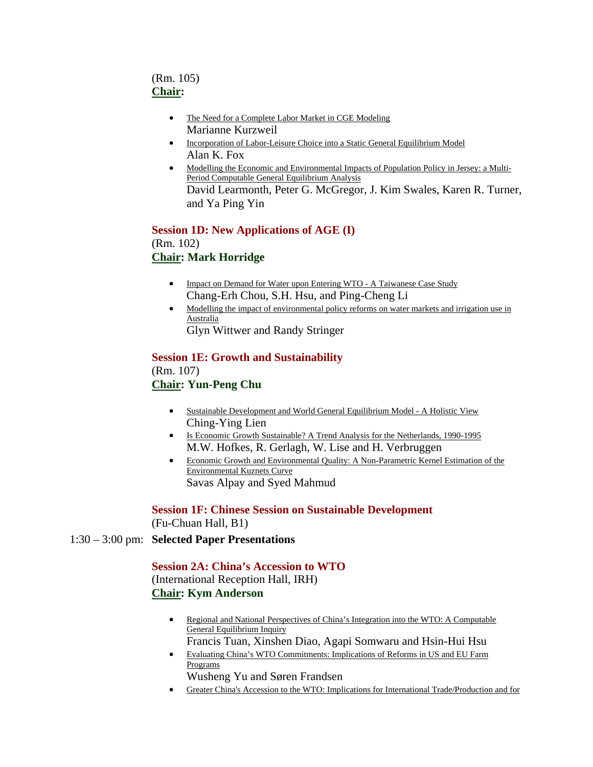# (Rm. 105) **Chair:**

- The Need for a Complete Labor Market in CGE Modeling Marianne Kurzweil
- Incorporation of Labor-Leisure Choice into a Static General Equilibrium Model Alan K. Fox
- Modelling the Economic and Environmental Impacts of Population Policy in Jersey: a Multi-Period Computable General Equilibrium Analysis David Learmonth, Peter G. McGregor, J. Kim Swales, Karen R. Turner, and Ya Ping Yin

**Session 1D: New Applications of AGE (I)** (Rm. 102) **Chair: Mark Horridge**

- Impact on Demand for Water upon Entering WTO A Taiwanese Case Study Chang-Erh Chou, S.H. Hsu, and Ping-Cheng Li
- Modelling the impact of environmental policy reforms on water markets and irrigation use in **Australia** Glyn Wittwer and Randy Stringer

**Session 1E: Growth and Sustainability** (Rm. 107) **Chair: Yun-Peng Chu**

- Sustainable Development and World General Equilibrium Model A Holistic View Ching-Ying Lien
- Is Economic Growth Sustainable? A Trend Analysis for the Netherlands, 1990-1995 M.W. Hofkes, R. Gerlagh, W. Lise and H. Verbruggen
- Economic Growth and Environmental Quality: A Non-Parametric Kernel Estimation of the Environmental Kuznets Curve Savas Alpay and Syed Mahmud

**Session 1F: Chinese Session on Sustainable Development** (Fu-Chuan Hall, B1)

1:30 – 3:00 pm: **Selected Paper Presentations**

**Session 2A: China's Accession to WTO** (International Reception Hall, IRH) **Chair: Kym Anderson**

- Regional and National Perspectives of China's Integration into the WTO: A Computable General Equilibrium Inquiry Francis Tuan, Xinshen Diao, Agapi Somwaru and Hsin-Hui Hsu
- Evaluating China's WTO Commitments: Implications of Reforms in US and EU Farm Programs Wusheng Yu and Søren Frandsen
- Greater China's Accession to the WTO: Implications for International Trade/Production and for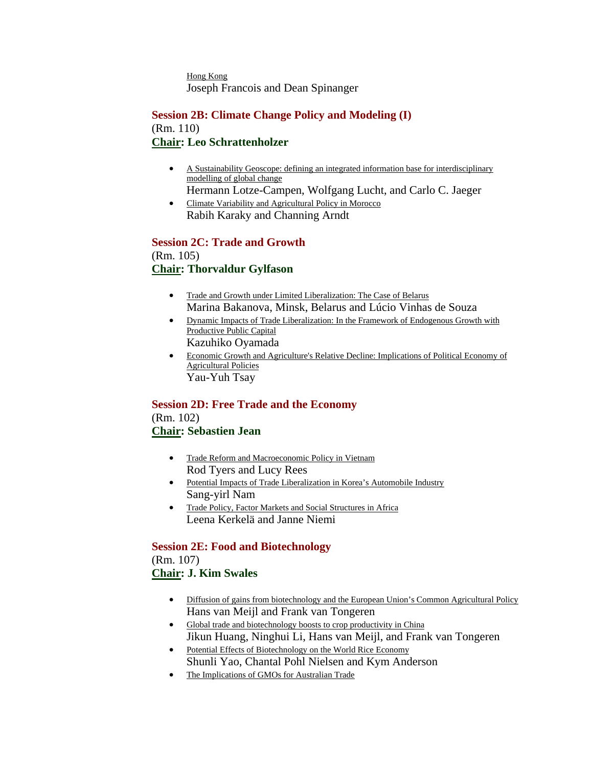Hong Kong Joseph Francois and Dean Spinanger

## **Session 2B: Climate Change Policy and Modeling (I)** (Rm. 110) **Chair: Leo Schrattenholzer**

- A Sustainability Geoscope: defining an integrated information base for interdisciplinary modelling of global change
- Hermann Lotze-Campen, Wolfgang Lucht, and Carlo C. Jaeger • Climate Variability and Agricultural Policy in Morocco
- Rabih Karaky and Channing Arndt

#### **Session 2C: Trade and Growth** (Rm. 105) **Chair: Thorvaldur Gylfason**

- Trade and Growth under Limited Liberalization: The Case of Belarus Marina Bakanova, Minsk, Belarus and Lúcio Vinhas de Souza
- Dynamic Impacts of Trade Liberalization: In the Framework of Endogenous Growth with Productive Public Capital Kazuhiko Oyamada
- Economic Growth and Agriculture's Relative Decline: Implications of Political Economy of Agricultural Policies Yau-Yuh Tsay

#### **Session 2D: Free Trade and the Economy** (Rm. 102)

# **Chair: Sebastien Jean**

- Trade Reform and Macroeconomic Policy in Vietnam Rod Tyers and Lucy Rees
- Potential Impacts of Trade Liberalization in Korea's Automobile Industry Sang-yirl Nam
- Trade Policy, Factor Markets and Social Structures in Africa Leena Kerkelä and Janne Niemi

# **Session 2E: Food and Biotechnology** (Rm. 107)

# **Chair: J. Kim Swales**

- Diffusion of gains from biotechnology and the European Union's Common Agricultural Policy Hans van Meijl and Frank van Tongeren
- Global trade and biotechnology boosts to crop productivity in China Jikun Huang, Ninghui Li, Hans van Meijl, and Frank van Tongeren
- Potential Effects of Biotechnology on the World Rice Economy Shunli Yao, Chantal Pohl Nielsen and Kym Anderson
- The Implications of GMOs for Australian Trade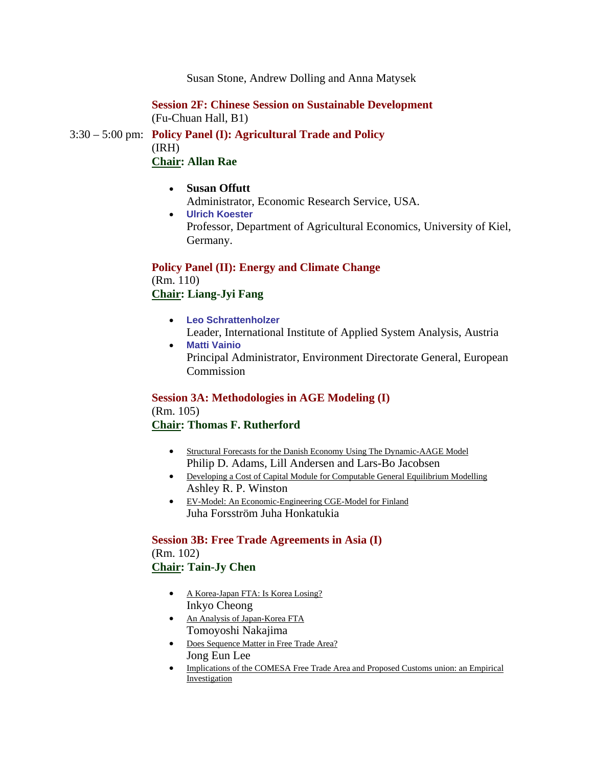Susan Stone, Andrew Dolling and Anna Matysek

**Session 2F: Chinese Session on Sustainable Development** (Fu-Chuan Hall, B1)

3:30 – 5:00 pm: **Policy Panel (I): Agricultural Trade and Policy** (IRH) **Chair: Allan Rae**

- **Susan Offutt**  Administrator, Economic Research Service, USA.
- **Ulrich Koester**  Professor, Department of Agricultural Economics, University of Kiel, Germany.

#### **Policy Panel (II): Energy and Climate Change**

(Rm. 110) **Chair: Liang-Jyi Fang**

- **Leo Schrattenholzer**  Leader, International Institute of Applied System Analysis, Austria
- **Matti Vainio**  Principal Administrator, Environment Directorate General, European Commission

#### **Session 3A: Methodologies in AGE Modeling (I)**

(Rm. 105) **Chair: Thomas F. Rutherford**

- Structural Forecasts for the Danish Economy Using The Dynamic-AAGE Model Philip D. Adams, Lill Andersen and Lars-Bo Jacobsen
- Developing a Cost of Capital Module for Computable General Equilibrium Modelling Ashley R. P. Winston
- EV-Model: An Economic-Engineering CGE-Model for Finland Juha Forsström Juha Honkatukia

**Session 3B: Free Trade Agreements in Asia (I)** (Rm. 102) **Chair: Tain-Jy Chen**

- A Korea-Japan FTA: Is Korea Losing? Inkyo Cheong
- An Analysis of Japan-Korea FTA Tomoyoshi Nakajima
- Does Sequence Matter in Free Trade Area? Jong Eun Lee
- Implications of the COMESA Free Trade Area and Proposed Customs union: an Empirical Investigation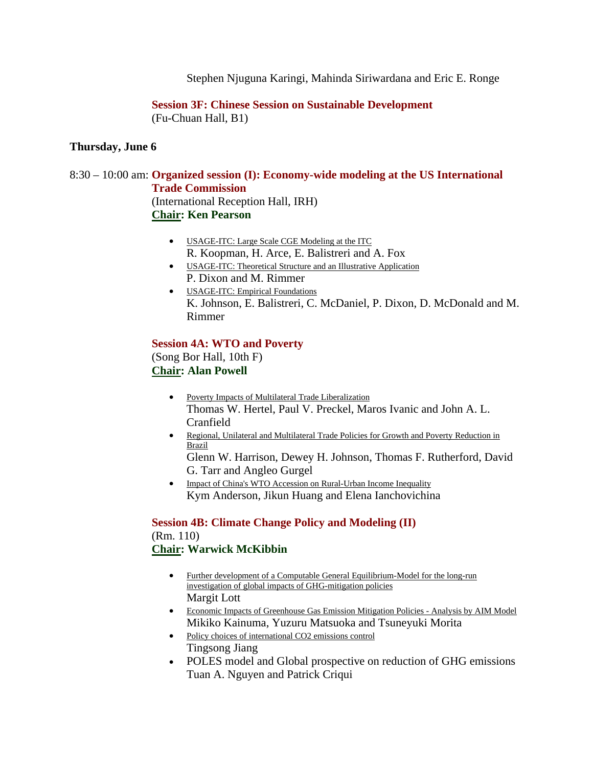Stephen Njuguna Karingi, Mahinda Siriwardana and Eric E. Ronge

**Session 3F: Chinese Session on Sustainable Development** (Fu-Chuan Hall, B1)

#### **Thursday, June 6**

# 8:30 – 10:00 am: **Organized session (I): Economy-wide modeling at the US International Trade Commission**

(International Reception Hall, IRH) **Chair: Ken Pearson**

- USAGE-ITC: Large Scale CGE Modeling at the ITC R. Koopman, H. Arce, E. Balistreri and A. Fox
- USAGE-ITC: Theoretical Structure and an Illustrative Application P. Dixon and M. Rimmer
- USAGE-ITC: Empirical Foundations K. Johnson, E. Balistreri, C. McDaniel, P. Dixon, D. McDonald and M. Rimmer

#### **Session 4A: WTO and Poverty**

(Song Bor Hall, 10th F) **Chair: Alan Powell**

- Poverty Impacts of Multilateral Trade Liberalization Thomas W. Hertel, Paul V. Preckel, Maros Ivanic and John A. L. Cranfield
- Regional, Unilateral and Multilateral Trade Policies for Growth and Poverty Reduction in Brazil
	- Glenn W. Harrison, Dewey H. Johnson, Thomas F. Rutherford, David G. Tarr and Angleo Gurgel
- Impact of China's WTO Accession on Rural-Urban Income Inequality Kym Anderson, Jikun Huang and Elena Ianchovichina

#### **Session 4B: Climate Change Policy and Modeling (II)**

(Rm. 110) **Chair: Warwick McKibbin**

- Further development of a Computable General Equilibrium-Model for the long-run investigation of global impacts of GHG-mitigation policies Margit Lott
- Economic Impacts of Greenhouse Gas Emission Mitigation Policies Analysis by AIM Model Mikiko Kainuma, Yuzuru Matsuoka and Tsuneyuki Morita
- Policy choices of international CO2 emissions control Tingsong Jiang
- POLES model and Global prospective on reduction of GHG emissions Tuan A. Nguyen and Patrick Criqui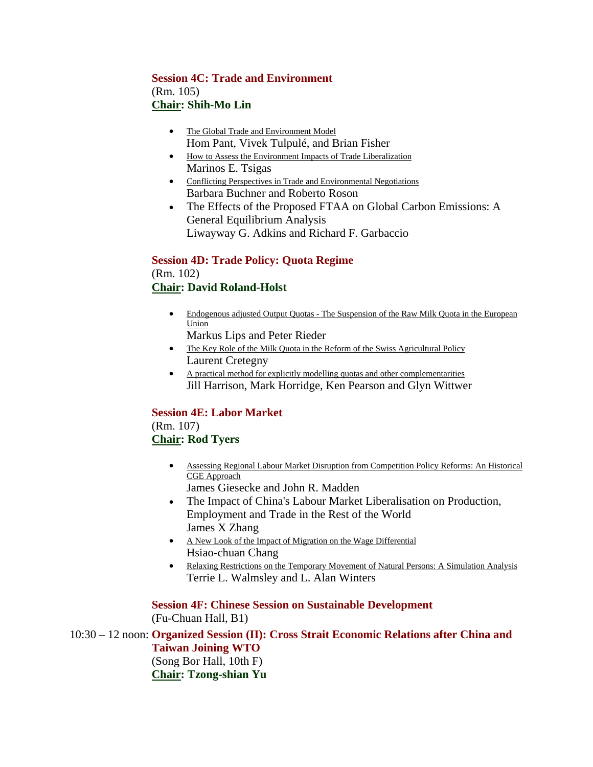# **Session 4C: Trade and Environment** (Rm. 105) **Chair: Shih-Mo Lin**

- The Global Trade and Environment Model Hom Pant, Vivek Tulpulé, and Brian Fisher
- How to Assess the Environment Impacts of Trade Liberalization Marinos E. Tsigas
- Conflicting Perspectives in Trade and Environmental Negotiations Barbara Buchner and Roberto Roson
- The Effects of the Proposed FTAA on Global Carbon Emissions: A General Equilibrium Analysis Liwayway G. Adkins and Richard F. Garbaccio

**Session 4D: Trade Policy: Quota Regime** (Rm. 102) **Chair: David Roland-Holst**

- Endogenous adjusted Output Quotas The Suspension of the Raw Milk Quota in the European Union
	- Markus Lips and Peter Rieder
- The Key Role of the Milk Quota in the Reform of the Swiss Agricultural Policy Laurent Cretegny
- A practical method for explicitly modelling quotas and other complementarities Jill Harrison, Mark Horridge, Ken Pearson and Glyn Wittwer

# **Session 4E: Labor Market**

(Rm. 107) **Chair: Rod Tyers**

- Assessing Regional Labour Market Disruption from Competition Policy Reforms: An Historical CGE Approach James Giesecke and John R. Madden
- The Impact of China's Labour Market Liberalisation on Production, Employment and Trade in the Rest of the World James X Zhang
- A New Look of the Impact of Migration on the Wage Differential Hsiao-chuan Chang
- Relaxing Restrictions on the Temporary Movement of Natural Persons: A Simulation Analysis Terrie L. Walmsley and L. Alan Winters

**Session 4F: Chinese Session on Sustainable Development** (Fu-Chuan Hall, B1)

10:30 – 12 noon: **Organized Session (II): Cross Strait Economic Relations after China and Taiwan Joining WTO** (Song Bor Hall, 10th F) **Chair: Tzong-shian Yu**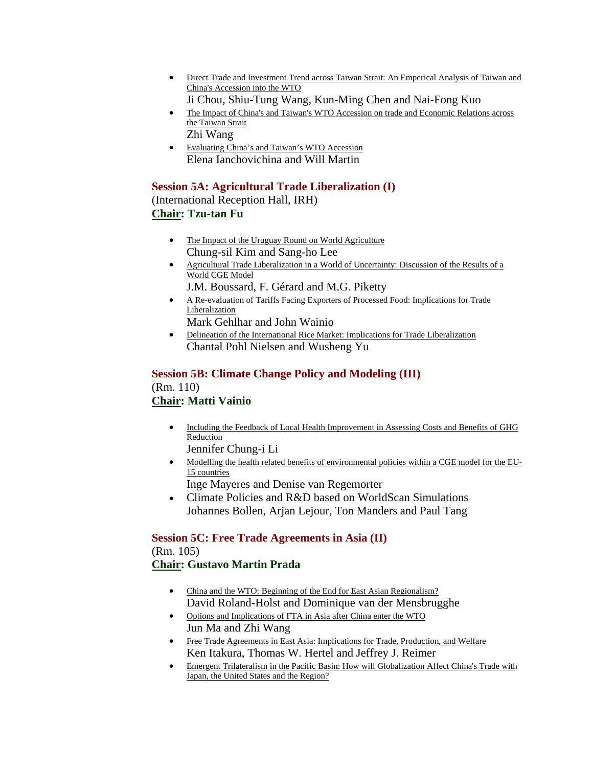- Direct Trade and Investment Trend across Taiwan Strait: An Emperical Analysis of Taiwan and China's Accession into the WTO Ji Chou, Shiu-Tung Wang, Kun-Ming Chen and Nai-Fong Kuo
- The Impact of China's and Taiwan's WTO Accession on trade and Economic Relations across the Taiwan Strait
	- Zhi Wang
- Evaluating China's and Taiwan's WTO Accession Elena Ianchovichina and Will Martin

## **Session 5A: Agricultural Trade Liberalization (I)**

(International Reception Hall, IRH) **Chair: Tzu-tan Fu**

- The Impact of the Uruguay Round on World Agriculture Chung-sil Kim and Sang-ho Lee
- Agricultural Trade Liberalization in a World of Uncertainty: Discussion of the Results of a World CGE Model
	- J.M. Boussard, F. Gérard and M.G. Piketty
- A Re-evaluation of Tariffs Facing Exporters of Processed Food: Implications for Trade Liberalization
	- Mark Gehlhar and John Wainio
- Delineation of the International Rice Market: Implications for Trade Liberalization Chantal Pohl Nielsen and Wusheng Yu

#### **Session 5B: Climate Change Policy and Modeling (III)** (Rm. 110) **Chair: Matti Vainio**

- Including the Feedback of Local Health Improvement in Assessing Costs and Benefits of GHG Reduction
- Jennifer Chung-i Li
- Modelling the health related benefits of environmental policies within a CGE model for the EU-15 countries

Inge Mayeres and Denise van Regemorter

• Climate Policies and R&D based on WorldScan Simulations Johannes Bollen, Arjan Lejour, Ton Manders and Paul Tang

#### **Session 5C: Free Trade Agreements in Asia (II)** (Rm. 105)

# **Chair: Gustavo Martin Prada**

- China and the WTO: Beginning of the End for East Asian Regionalism? David Roland-Holst and Dominique van der Mensbrugghe
- Options and Implications of FTA in Asia after China enter the WTO Jun Ma and Zhi Wang
- Free Trade Agreements in East Asia: Implications for Trade, Production, and Welfare Ken Itakura, Thomas W. Hertel and Jeffrey J. Reimer
- Emergent Trilateralism in the Pacific Basin: How will Globalization Affect China's Trade with Japan, the United States and the Region?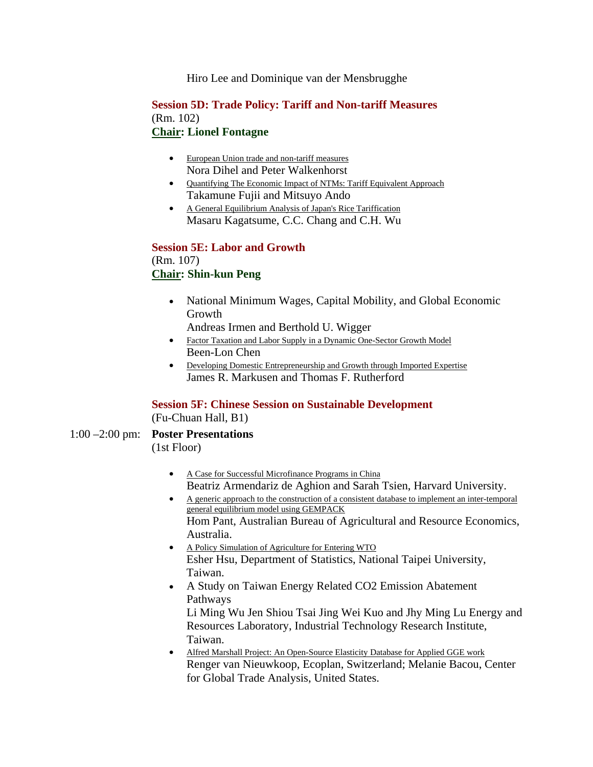Hiro Lee and Dominique van der Mensbrugghe

#### **Session 5D: Trade Policy: Tariff and Non-tariff Measures** (Rm. 102) **Chair: Lionel Fontagne**

#### • European Union trade and non-tariff measures Nora Dihel and Peter Walkenhorst

- Quantifying The Economic Impact of NTMs: Tariff Equivalent Approach Takamune Fujii and Mitsuyo Ando
- A General Equilibrium Analysis of Japan's Rice Tariffication Masaru Kagatsume, C.C. Chang and C.H. Wu

#### **Session 5E: Labor and Growth** (Rm. 107) **Chair: Shin-kun Peng**

• National Minimum Wages, Capital Mobility, and Global Economic Growth

Andreas Irmen and Berthold U. Wigger

- Factor Taxation and Labor Supply in a Dynamic One-Sector Growth Model Been-Lon Chen
- Developing Domestic Entrepreneurship and Growth through Imported Expertise James R. Markusen and Thomas F. Rutherford

# **Session 5F: Chinese Session on Sustainable Development**

(Fu-Chuan Hall, B1)

- 1:00 –2:00 pm: **Poster Presentations** (1st Floor)
	- A Case for Successful Microfinance Programs in China Beatriz Armendariz de Aghion and Sarah Tsien, Harvard University.
	- A generic approach to the construction of a consistent database to implement an inter-temporal general equilibrium model using GEMPACK Hom Pant, Australian Bureau of Agricultural and Resource Economics, Australia.
	- A Policy Simulation of Agriculture for Entering WTO Esher Hsu, Department of Statistics, National Taipei University, Taiwan.
	- A Study on Taiwan Energy Related CO2 Emission Abatement Pathways Li Ming Wu Jen Shiou Tsai Jing Wei Kuo and Jhy Ming Lu Energy and
		- Resources Laboratory, Industrial Technology Research Institute, Taiwan.
	- Alfred Marshall Project: An Open-Source Elasticity Database for Applied GGE work Renger van Nieuwkoop, Ecoplan, Switzerland; Melanie Bacou, Center for Global Trade Analysis, United States.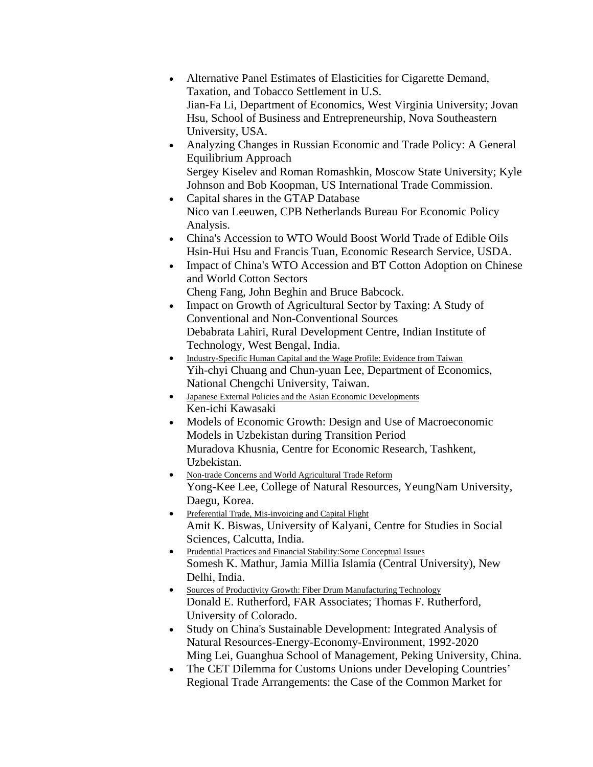- Alternative Panel Estimates of Elasticities for Cigarette Demand, Taxation, and Tobacco Settlement in U.S. Jian-Fa Li, Department of Economics, West Virginia University; Jovan Hsu, School of Business and Entrepreneurship, Nova Southeastern University, USA.
- Analyzing Changes in Russian Economic and Trade Policy: A General Equilibrium Approach Sergey Kiselev and Roman Romashkin, Moscow State University; Kyle Johnson and Bob Koopman, US International Trade Commission.
- Capital shares in the GTAP Database Nico van Leeuwen, CPB Netherlands Bureau For Economic Policy Analysis.
- China's Accession to WTO Would Boost World Trade of Edible Oils Hsin-Hui Hsu and Francis Tuan, Economic Research Service, USDA.
- Impact of China's WTO Accession and BT Cotton Adoption on Chinese and World Cotton Sectors Cheng Fang, John Beghin and Bruce Babcock.
- Impact on Growth of Agricultural Sector by Taxing: A Study of Conventional and Non-Conventional Sources Debabrata Lahiri, Rural Development Centre, Indian Institute of Technology, West Bengal, India.
- Industry-Specific Human Capital and the Wage Profile: Evidence from Taiwan Yih-chyi Chuang and Chun-yuan Lee, Department of Economics, National Chengchi University, Taiwan.
- Japanese External Policies and the Asian Economic Developments Ken-ichi Kawasaki
- Models of Economic Growth: Design and Use of Macroeconomic Models in Uzbekistan during Transition Period Muradova Khusnia, Centre for Economic Research, Tashkent, Uzbekistan.
- Non-trade Concerns and World Agricultural Trade Reform Yong-Kee Lee, College of Natural Resources, YeungNam University, Daegu, Korea.
- Preferential Trade, Mis-invoicing and Capital Flight Amit K. Biswas, University of Kalyani, Centre for Studies in Social Sciences, Calcutta, India.
- Prudential Practices and Financial Stability:Some Conceptual Issues Somesh K. Mathur, Jamia Millia Islamia (Central University), New Delhi, India.
- Sources of Productivity Growth: Fiber Drum Manufacturing Technology Donald E. Rutherford, FAR Associates; Thomas F. Rutherford, University of Colorado.
- Study on China's Sustainable Development: Integrated Analysis of Natural Resources-Energy-Economy-Environment, 1992-2020 Ming Lei, Guanghua School of Management, Peking University, China.
- The CET Dilemma for Customs Unions under Developing Countries' Regional Trade Arrangements: the Case of the Common Market for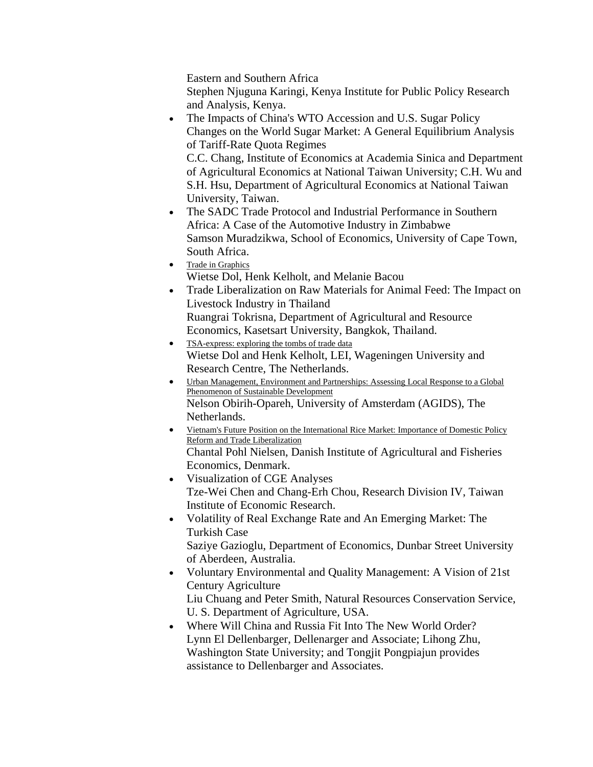Eastern and Southern Africa

Stephen Njuguna Karingi, Kenya Institute for Public Policy Research and Analysis, Kenya.

• The Impacts of China's WTO Accession and U.S. Sugar Policy Changes on the World Sugar Market: A General Equilibrium Analysis of Tariff-Rate Quota Regimes

C.C. Chang, Institute of Economics at Academia Sinica and Department of Agricultural Economics at National Taiwan University; C.H. Wu and S.H. Hsu, Department of Agricultural Economics at National Taiwan University, Taiwan.

- The SADC Trade Protocol and Industrial Performance in Southern Africa: A Case of the Automotive Industry in Zimbabwe Samson Muradzikwa, School of Economics, University of Cape Town, South Africa.
- Trade in Graphics Wietse Dol, Henk Kelholt, and Melanie Bacou
- Trade Liberalization on Raw Materials for Animal Feed: The Impact on Livestock Industry in Thailand Ruangrai Tokrisna, Department of Agricultural and Resource
	- Economics, Kasetsart University, Bangkok, Thailand.
- TSA-express: exploring the tombs of trade data Wietse Dol and Henk Kelholt, LEI, Wageningen University and Research Centre, The Netherlands.
- Urban Management, Environment and Partnerships: Assessing Local Response to a Global Phenomenon of Sustainable Development Nelson Obirih-Opareh, University of Amsterdam (AGIDS), The Netherlands.
- Vietnam's Future Position on the International Rice Market: Importance of Domestic Policy Reform and Trade Liberalization Chantal Pohl Nielsen, Danish Institute of Agricultural and Fisheries Economics, Denmark.
- Visualization of CGE Analyses Tze-Wei Chen and Chang-Erh Chou, Research Division IV, Taiwan Institute of Economic Research.
- Volatility of Real Exchange Rate and An Emerging Market: The Turkish Case Saziye Gazioglu, Department of Economics, Dunbar Street University of Aberdeen, Australia.
- Voluntary Environmental and Quality Management: A Vision of 21st Century Agriculture Liu Chuang and Peter Smith, Natural Resources Conservation Service, U. S. Department of Agriculture, USA.
- Where Will China and Russia Fit Into The New World Order? Lynn El Dellenbarger, Dellenarger and Associate; Lihong Zhu, Washington State University; and Tongjit Pongpiajun provides assistance to Dellenbarger and Associates.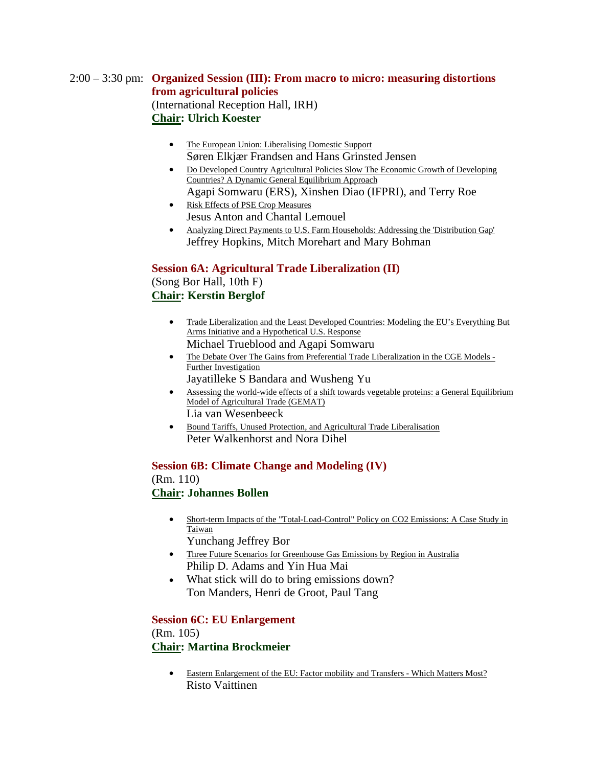# 2:00 – 3:30 pm: **Organized Session (III): From macro to micro: measuring distortions from agricultural policies** (International Reception Hall, IRH) **Chair: Ulrich Koester**

- The European Union: Liberalising Domestic Support Søren Elkjær Frandsen and Hans Grinsted Jensen
- Do Developed Country Agricultural Policies Slow The Economic Growth of Developing Countries? A Dynamic General Equilibrium Approach Agapi Somwaru (ERS), Xinshen Diao (IFPRI), and Terry Roe
- Risk Effects of PSE Crop Measures Jesus Anton and Chantal Lemouel
- Analyzing Direct Payments to U.S. Farm Households: Addressing the 'Distribution Gap' Jeffrey Hopkins, Mitch Morehart and Mary Bohman

### **Session 6A: Agricultural Trade Liberalization (II)**

(Song Bor Hall, 10th F) **Chair: Kerstin Berglof**

- Trade Liberalization and the Least Developed Countries: Modeling the EU's Everything But Arms Initiative and a Hypothetical U.S. Response Michael Trueblood and Agapi Somwaru
- The Debate Over The Gains from Preferential Trade Liberalization in the CGE Models -Further Investigation Jayatilleke S Bandara and Wusheng Yu
- Assessing the world-wide effects of a shift towards vegetable proteins: a General Equilibrium Model of Agricultural Trade (GEMAT) Lia van Wesenbeeck
- Bound Tariffs, Unused Protection, and Agricultural Trade Liberalisation Peter Walkenhorst and Nora Dihel

**Session 6B: Climate Change and Modeling (IV)** (Rm. 110) **Chair: Johannes Bollen**

- Short-term Impacts of the "Total-Load-Control" Policy on CO2 Emissions: A Case Study in Taiwan Yunchang Jeffrey Bor
- Three Future Scenarios for Greenhouse Gas Emissions by Region in Australia
- Philip D. Adams and Yin Hua Mai • What stick will do to bring emissions down?
	- Ton Manders, Henri de Groot, Paul Tang

#### **Session 6C: EU Enlargement** (Rm. 105) **Chair: Martina Brockmeier**

• Eastern Enlargement of the EU: Factor mobility and Transfers - Which Matters Most? Risto Vaittinen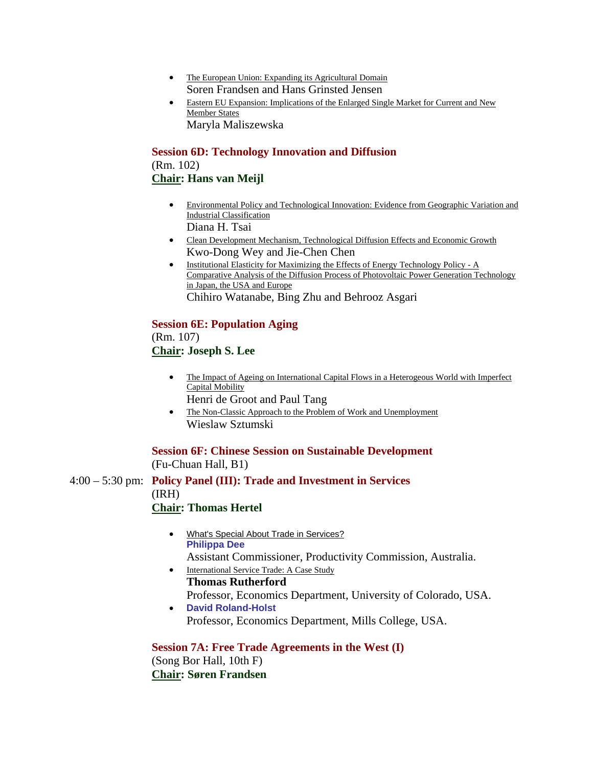- The European Union: Expanding its Agricultural Domain Soren Frandsen and Hans Grinsted Jensen
- Eastern EU Expansion: Implications of the Enlarged Single Market for Current and New Member States Maryla Maliszewska

**Session 6D: Technology Innovation and Diffusion** (Rm. 102) **Chair: Hans van Meijl**

- Environmental Policy and Technological Innovation: Evidence from Geographic Variation and Industrial Classification Diana H. Tsai
- Clean Development Mechanism, Technological Diffusion Effects and Economic Growth Kwo-Dong Wey and Jie-Chen Chen
- Institutional Elasticity for Maximizing the Effects of Energy Technology Policy A Comparative Analysis of the Diffusion Process of Photovoltaic Power Generation Technology in Japan, the USA and Europe Chihiro Watanabe, Bing Zhu and Behrooz Asgari

#### **Session 6E: Population Aging**

(Rm. 107) **Chair: Joseph S. Lee**

- The Impact of Ageing on International Capital Flows in a Heterogeous World with Imperfect Capital Mobility
	- Henri de Groot and Paul Tang
- The Non-Classic Approach to the Problem of Work and Unemployment Wieslaw Sztumski

**Session 6F: Chinese Session on Sustainable Development** (Fu-Chuan Hall, B1)

4:00 – 5:30 pm: **Policy Panel (III): Trade and Investment in Services** (IRH)

### **Chair: Thomas Hertel**

- What's Special About Trade in Services? **Philippa Dee**  Assistant Commissioner, Productivity Commission, Australia.
- International Service Trade: A Case Study **Thomas Rutherford**  Professor, Economics Department, University of Colorado, USA.
- **David Roland-Holst**  Professor, Economics Department, Mills College, USA.

# **Session 7A: Free Trade Agreements in the West (I)**

(Song Bor Hall, 10th F) **Chair: Søren Frandsen**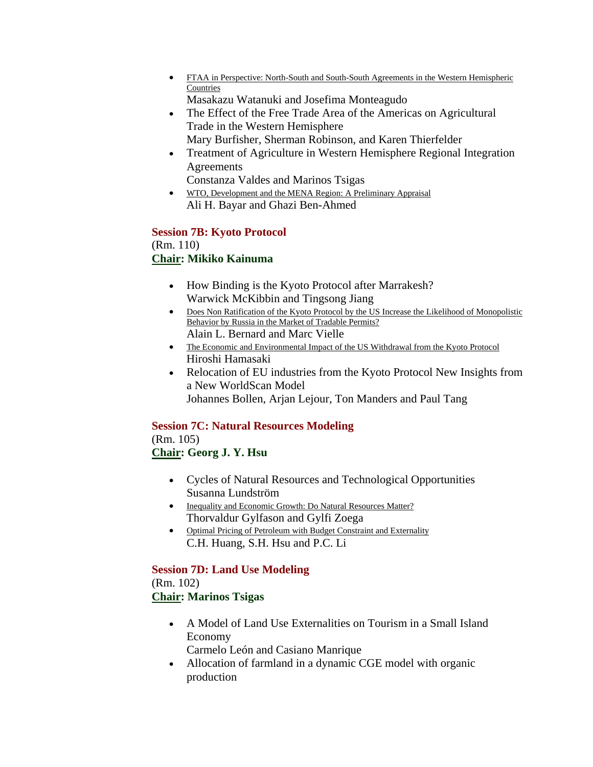- FTAA in Perspective: North-South and South-South Agreements in the Western Hemispheric Countries Masakazu Watanuki and Josefima Monteagudo
- The Effect of the Free Trade Area of the Americas on Agricultural Trade in the Western Hemisphere
- Mary Burfisher, Sherman Robinson, and Karen Thierfelder • Treatment of Agriculture in Western Hemisphere Regional Integration
- Agreements Constanza Valdes and Marinos Tsigas
- WTO, Development and the MENA Region: A Preliminary Appraisal Ali H. Bayar and Ghazi Ben-Ahmed

# **Session 7B: Kyoto Protocol**

### (Rm. 110) **Chair: Mikiko Kainuma**

- How Binding is the Kyoto Protocol after Marrakesh? Warwick McKibbin and Tingsong Jiang
- Does Non Ratification of the Kyoto Protocol by the US Increase the Likelihood of Monopolistic Behavior by Russia in the Market of Tradable Permits? Alain L. Bernard and Marc Vielle
- The Economic and Environmental Impact of the US Withdrawal from the Kyoto Protocol
- Hiroshi Hamasaki
- Relocation of EU industries from the Kyoto Protocol New Insights from a New WorldScan Model Johannes Bollen, Arjan Lejour, Ton Manders and Paul Tang

# **Session 7C: Natural Resources Modeling**

# (Rm. 105) **Chair: Georg J. Y. Hsu**

- Cycles of Natural Resources and Technological Opportunities Susanna Lundström
- Inequality and Economic Growth: Do Natural Resources Matter? Thorvaldur Gylfason and Gylfi Zoega
- Optimal Pricing of Petroleum with Budget Constraint and Externality C.H. Huang, S.H. Hsu and P.C. Li

# **Session 7D: Land Use Modeling**

(Rm. 102) **Chair: Marinos Tsigas**

- A Model of Land Use Externalities on Tourism in a Small Island Economy
- Carmelo León and Casiano Manrique • Allocation of farmland in a dynamic CGE model with organic production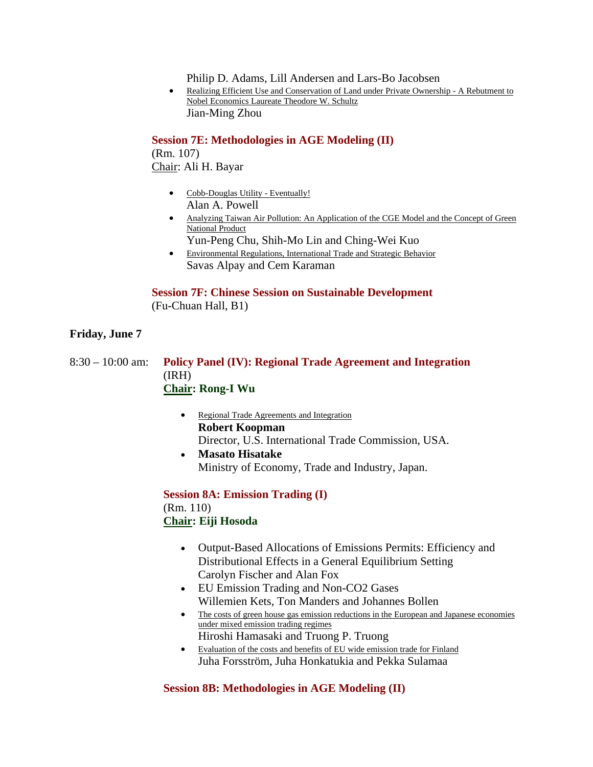Philip D. Adams, Lill Andersen and Lars-Bo Jacobsen

• Realizing Efficient Use and Conservation of Land under Private Ownership - A Rebutment to Nobel Economics Laureate Theodore W. Schultz Jian-Ming Zhou

**Session 7E: Methodologies in AGE Modeling (II)**

(Rm. 107) Chair: Ali H. Bayar

- Cobb-Douglas Utility Eventually! Alan A. Powell
- Analyzing Taiwan Air Pollution: An Application of the CGE Model and the Concept of Green National Product
	- Yun-Peng Chu, Shih-Mo Lin and Ching-Wei Kuo
- Environmental Regulations, International Trade and Strategic Behavior Savas Alpay and Cem Karaman

### **Session 7F: Chinese Session on Sustainable Development** (Fu-Chuan Hall, B1)

### **Friday, June 7**

| $8:30 - 10:00$ am: | <b>Policy Panel (IV): Regional Trade Agreement and Integration</b> |
|--------------------|--------------------------------------------------------------------|
|                    | (IRH)                                                              |
|                    | <b>Chair: Rong-I Wu</b>                                            |

- Regional Trade Agreements and Integration **Robert Koopman** Director, U.S. International Trade Commission, USA.
- **Masato Hisatake** Ministry of Economy, Trade and Industry, Japan.

**Session 8A: Emission Trading (I)** (Rm. 110) **Chair: Eiji Hosoda**

- Output-Based Allocations of Emissions Permits: Efficiency and Distributional Effects in a General Equilibrium Setting Carolyn Fischer and Alan Fox
- EU Emission Trading and Non-CO2 Gases Willemien Kets, Ton Manders and Johannes Bollen
- The costs of green house gas emission reductions in the European and Japanese economies under mixed emission trading regimes Hiroshi Hamasaki and Truong P. Truong
- Evaluation of the costs and benefits of EU wide emission trade for Finland Juha Forsström, Juha Honkatukia and Pekka Sulamaa

# **Session 8B: Methodologies in AGE Modeling (II)**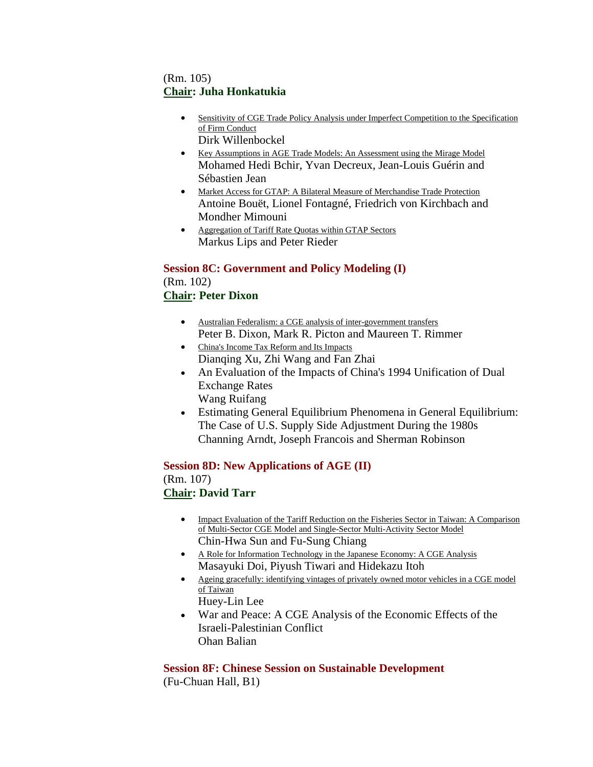# (Rm. 105) **Chair: Juha Honkatukia**

- Sensitivity of CGE Trade Policy Analysis under Imperfect Competition to the Specification of Firm Conduct Dirk Willenbockel
- Key Assumptions in AGE Trade Models: An Assessment using the Mirage Model Mohamed Hedi Bchir, Yvan Decreux, Jean-Louis Guérin and Sébastien Jean
- Market Access for GTAP: A Bilateral Measure of Merchandise Trade Protection Antoine Bouët, Lionel Fontagné, Friedrich von Kirchbach and Mondher Mimouni
- Aggregation of Tariff Rate Quotas within GTAP Sectors Markus Lips and Peter Rieder

#### **Session 8C: Government and Policy Modeling (I)** (Rm. 102)

# **Chair: Peter Dixon**

- Australian Federalism: a CGE analysis of inter-government transfers Peter B. Dixon, Mark R. Picton and Maureen T. Rimmer
- China's Income Tax Reform and Its Impacts Dianqing Xu, Zhi Wang and Fan Zhai
- An Evaluation of the Impacts of China's 1994 Unification of Dual Exchange Rates Wang Ruifang
- Estimating General Equilibrium Phenomena in General Equilibrium: The Case of U.S. Supply Side Adjustment During the 1980s Channing Arndt, Joseph Francois and Sherman Robinson

**Session 8D: New Applications of AGE (II)** (Rm. 107) **Chair: David Tarr**

- Impact Evaluation of the Tariff Reduction on the Fisheries Sector in Taiwan: A Comparison of Multi-Sector CGE Model and Single-Sector Multi-Activity Sector Model Chin-Hwa Sun and Fu-Sung Chiang
- A Role for Information Technology in the Japanese Economy: A CGE Analysis Masayuki Doi, Piyush Tiwari and Hidekazu Itoh
- Ageing gracefully: identifying vintages of privately owned motor vehicles in a CGE model of Taiwan Huey-Lin Lee
- War and Peace: A CGE Analysis of the Economic Effects of the Israeli-Palestinian Conflict Ohan Balian

**Session 8F: Chinese Session on Sustainable Development** (Fu-Chuan Hall, B1)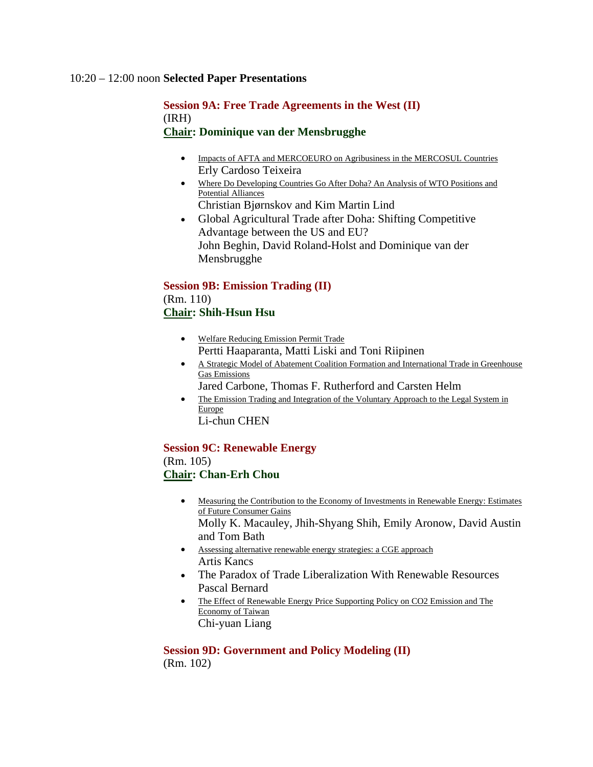#### 10:20 – 12:00 noon **Selected Paper Presentations**

### **Session 9A: Free Trade Agreements in the West (II)** (IRH) **Chair: Dominique van der Mensbrugghe**

- Impacts of AFTA and MERCOEURO on Agribusiness in the MERCOSUL Countries Erly Cardoso Teixeira
- Where Do Developing Countries Go After Doha? An Analysis of WTO Positions and Potential Alliances
	- Christian Bjørnskov and Kim Martin Lind
- Global Agricultural Trade after Doha: Shifting Competitive Advantage between the US and EU? John Beghin, David Roland-Holst and Dominique van der Mensbrugghe

# **Session 9B: Emission Trading (II)**

# (Rm. 110) **Chair: Shih-Hsun Hsu**

- Welfare Reducing Emission Permit Trade Pertti Haaparanta, Matti Liski and Toni Riipinen
- A Strategic Model of Abatement Coalition Formation and International Trade in Greenhouse Gas Emissions
	- Jared Carbone, Thomas F. Rutherford and Carsten Helm
- The Emission Trading and Integration of the Voluntary Approach to the Legal System in Europe

Li-chun CHEN

#### **Session 9C: Renewable Energy** (Rm. 105)

# **Chair: Chan-Erh Chou**

• Measuring the Contribution to the Economy of Investments in Renewable Energy: Estimates of Future Consumer Gains

Molly K. Macauley, Jhih-Shyang Shih, Emily Aronow, David Austin and Tom Bath

- Assessing alternative renewable energy strategies: a CGE approach Artis Kancs
- The Paradox of Trade Liberalization With Renewable Resources Pascal Bernard
- The Effect of Renewable Energy Price Supporting Policy on CO2 Emission and The Economy of Taiwan Chi-yuan Liang

#### **Session 9D: Government and Policy Modeling (II)**

(Rm. 102)